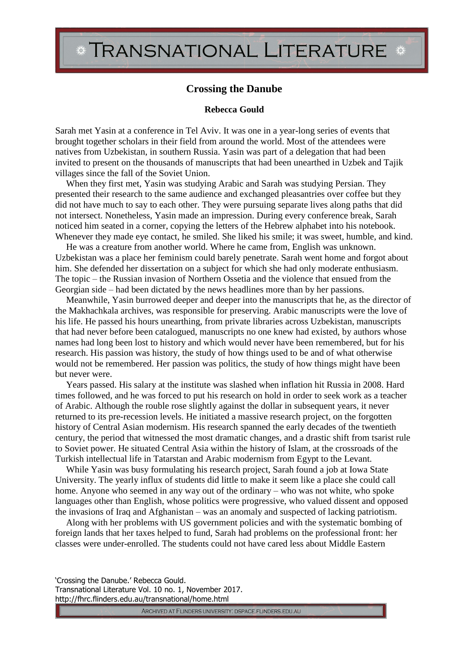## TRANSNATIONAL LITERATURE \*

## **Crossing the Danube**

## **Rebecca Gould**

Sarah met Yasin at a conference in Tel Aviv. It was one in a year-long series of events that brought together scholars in their field from around the world. Most of the attendees were natives from Uzbekistan, in southern Russia. Yasin was part of a delegation that had been invited to present on the thousands of manuscripts that had been unearthed in Uzbek and Tajik villages since the fall of the Soviet Union.

When they first met, Yasin was studying Arabic and Sarah was studying Persian. They presented their research to the same audience and exchanged pleasantries over coffee but they did not have much to say to each other. They were pursuing separate lives along paths that did not intersect. Nonetheless, Yasin made an impression. During every conference break, Sarah noticed him seated in a corner, copying the letters of the Hebrew alphabet into his notebook. Whenever they made eye contact, he smiled. She liked his smile; it was sweet, humble, and kind.

He was a creature from another world. Where he came from, English was unknown. Uzbekistan was a place her feminism could barely penetrate. Sarah went home and forgot about him. She defended her dissertation on a subject for which she had only moderate enthusiasm. The topic – the Russian invasion of Northern Ossetia and the violence that ensued from the Georgian side – had been dictated by the news headlines more than by her passions.

Meanwhile, Yasin burrowed deeper and deeper into the manuscripts that he, as the director of the Makhachkala archives, was responsible for preserving. Arabic manuscripts were the love of his life. He passed his hours unearthing, from private libraries across Uzbekistan, manuscripts that had never before been catalogued, manuscripts no one knew had existed, by authors whose names had long been lost to history and which would never have been remembered, but for his research. His passion was history, the study of how things used to be and of what otherwise would not be remembered. Her passion was politics, the study of how things might have been but never were.

Years passed. His salary at the institute was slashed when inflation hit Russia in 2008. Hard times followed, and he was forced to put his research on hold in order to seek work as a teacher of Arabic. Although the rouble rose slightly against the dollar in subsequent years, it never returned to its pre-recession levels. He initiated a massive research project, on the forgotten history of Central Asian modernism. His research spanned the early decades of the twentieth century, the period that witnessed the most dramatic changes, and a drastic shift from tsarist rule to Soviet power. He situated Central Asia within the history of Islam, at the crossroads of the Turkish intellectual life in Tatarstan and Arabic modernism from Egypt to the Levant.

While Yasin was busy formulating his research project, Sarah found a job at Iowa State University. The yearly influx of students did little to make it seem like a place she could call home. Anyone who seemed in any way out of the ordinary – who was not white, who spoke languages other than English, whose politics were progressive, who valued dissent and opposed the invasions of Iraq and Afghanistan – was an anomaly and suspected of lacking patriotism.

Along with her problems with US government policies and with the systematic bombing of foreign lands that her taxes helped to fund, Sarah had problems on the professional front: her classes were under-enrolled. The students could not have cared less about Middle Eastern

'Crossing the Danube.' Rebecca Gould.

Transnational Literature Vol. 10 no. 1, November 2017. http://fhrc.flinders.edu.au/transnational/home.html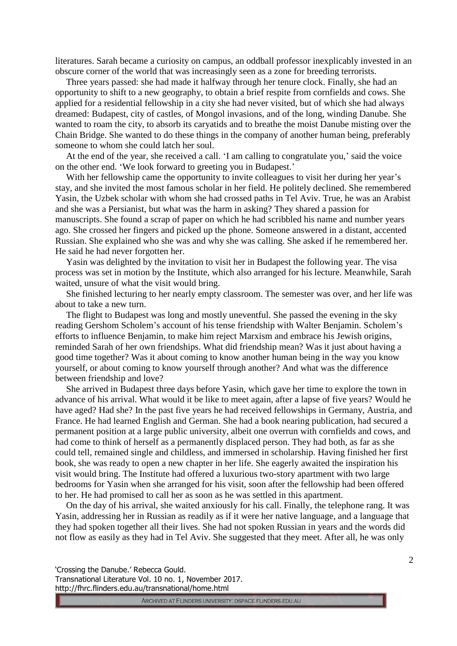literatures. Sarah became a curiosity on campus, an oddball professor inexplicably invested in an obscure corner of the world that was increasingly seen as a zone for breeding terrorists.

Three years passed: she had made it halfway through her tenure clock. Finally, she had an opportunity to shift to a new geography, to obtain a brief respite from cornfields and cows. She applied for a residential fellowship in a city she had never visited, but of which she had always dreamed: Budapest, city of castles, of Mongol invasions, and of the long, winding Danube. She wanted to roam the city, to absorb its caryatids and to breathe the moist Danube misting over the Chain Bridge. She wanted to do these things in the company of another human being, preferably someone to whom she could latch her soul.

At the end of the year, she received a call. 'I am calling to congratulate you,' said the voice on the other end. 'We look forward to greeting you in Budapest.'

With her fellowship came the opportunity to invite colleagues to visit her during her year's stay, and she invited the most famous scholar in her field. He politely declined. She remembered Yasin, the Uzbek scholar with whom she had crossed paths in Tel Aviv. True, he was an Arabist and she was a Persianist, but what was the harm in asking? They shared a passion for manuscripts. She found a scrap of paper on which he had scribbled his name and number years ago. She crossed her fingers and picked up the phone. Someone answered in a distant, accented Russian. She explained who she was and why she was calling. She asked if he remembered her. He said he had never forgotten her.

Yasin was delighted by the invitation to visit her in Budapest the following year. The visa process was set in motion by the Institute, which also arranged for his lecture. Meanwhile, Sarah waited, unsure of what the visit would bring.

She finished lecturing to her nearly empty classroom. The semester was over, and her life was about to take a new turn.

The flight to Budapest was long and mostly uneventful. She passed the evening in the sky reading Gershom Scholem's account of his tense friendship with Walter Benjamin. Scholem's efforts to influence Benjamin, to make him reject Marxism and embrace his Jewish origins, reminded Sarah of her own friendships. What did friendship mean? Was it just about having a good time together? Was it about coming to know another human being in the way you know yourself, or about coming to know yourself through another? And what was the difference between friendship and love?

She arrived in Budapest three days before Yasin, which gave her time to explore the town in advance of his arrival. What would it be like to meet again, after a lapse of five years? Would he have aged? Had she? In the past five years he had received fellowships in Germany, Austria, and France. He had learned English and German. She had a book nearing publication, had secured a permanent position at a large public university, albeit one overrun with cornfields and cows, and had come to think of herself as a permanently displaced person. They had both, as far as she could tell, remained single and childless, and immersed in scholarship. Having finished her first book, she was ready to open a new chapter in her life. She eagerly awaited the inspiration his visit would bring. The Institute had offered a luxurious two-story apartment with two large bedrooms for Yasin when she arranged for his visit, soon after the fellowship had been offered to her. He had promised to call her as soon as he was settled in this apartment.

On the day of his arrival, she waited anxiously for his call. Finally, the telephone rang. It was Yasin, addressing her in Russian as readily as if it were her native language, and a language that they had spoken together all their lives. She had not spoken Russian in years and the words did not flow as easily as they had in Tel Aviv. She suggested that they meet. After all, he was only

'Crossing the Danube.' Rebecca Gould. Transnational Literature Vol. 10 no. 1, November 2017. http://fhrc.flinders.edu.au/transnational/home.html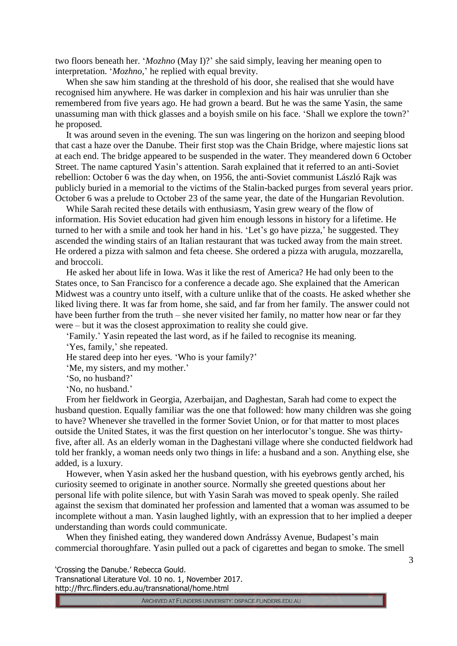two floors beneath her. '*Mozhno* (May I)?' she said simply, leaving her meaning open to interpretation. '*Mozhno*,' he replied with equal brevity.

When she saw him standing at the threshold of his door, she realised that she would have recognised him anywhere. He was darker in complexion and his hair was unrulier than she remembered from five years ago. He had grown a beard. But he was the same Yasin, the same unassuming man with thick glasses and a boyish smile on his face. 'Shall we explore the town?' he proposed.

It was around seven in the evening. The sun was lingering on the horizon and seeping blood that cast a haze over the Danube. Their first stop was the Chain Bridge, where majestic lions sat at each end. The bridge appeared to be suspended in the water. They meandered down 6 October Street. The name captured Yasin's attention. Sarah explained that it referred to an anti-Soviet rebellion: October 6 was the day when, on 1956, the anti-Soviet communist László Rajk was publicly buried in a memorial to the victims of the Stalin-backed purges from several years prior. October 6 was a prelude to October 23 of the same year, the date of the Hungarian Revolution.

While Sarah recited these details with enthusiasm, Yasin grew weary of the flow of information. His Soviet education had given him enough lessons in history for a lifetime. He turned to her with a smile and took her hand in his. 'Let's go have pizza,' he suggested. They ascended the winding stairs of an Italian restaurant that was tucked away from the main street. He ordered a pizza with salmon and feta cheese. She ordered a pizza with arugula, mozzarella, and broccoli.

He asked her about life in Iowa. Was it like the rest of America? He had only been to the States once, to San Francisco for a conference a decade ago. She explained that the American Midwest was a country unto itself, with a culture unlike that of the coasts. He asked whether she liked living there. It was far from home, she said, and far from her family. The answer could not have been further from the truth – she never visited her family, no matter how near or far they were – but it was the closest approximation to reality she could give.

'Family.' Yasin repeated the last word, as if he failed to recognise its meaning.

'Yes, family,' she repeated.

He stared deep into her eyes. 'Who is your family?'

'Me, my sisters, and my mother.'

'So, no husband?'

'No, no husband.'

From her fieldwork in Georgia, Azerbaijan, and Daghestan, Sarah had come to expect the husband question. Equally familiar was the one that followed: how many children was she going to have? Whenever she travelled in the former Soviet Union, or for that matter to most places outside the United States, it was the first question on her interlocutor's tongue. She was thirtyfive, after all. As an elderly woman in the Daghestani village where she conducted fieldwork had told her frankly, a woman needs only two things in life: a husband and a son. Anything else, she added, is a luxury.

However, when Yasin asked her the husband question, with his eyebrows gently arched, his curiosity seemed to originate in another source. Normally she greeted questions about her personal life with polite silence, but with Yasin Sarah was moved to speak openly. She railed against the sexism that dominated her profession and lamented that a woman was assumed to be incomplete without a man. Yasin laughed lightly, with an expression that to her implied a deeper understanding than words could communicate.

When they finished eating, they wandered down Andrássy Avenue, Budapest's main commercial thoroughfare. Yasin pulled out a pack of cigarettes and began to smoke. The smell

'Crossing the Danube.' Rebecca Gould.

Transnational Literature Vol. 10 no. 1, November 2017. http://fhrc.flinders.edu.au/transnational/home.html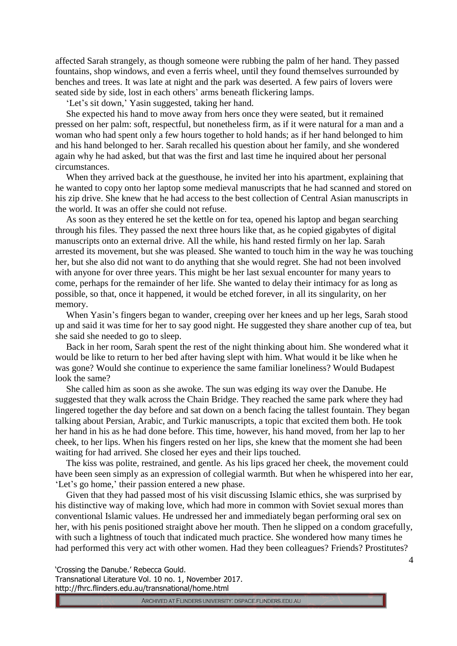affected Sarah strangely, as though someone were rubbing the palm of her hand. They passed fountains, shop windows, and even a ferris wheel, until they found themselves surrounded by benches and trees. It was late at night and the park was deserted. A few pairs of lovers were seated side by side, lost in each others' arms beneath flickering lamps.

'Let's sit down,' Yasin suggested, taking her hand.

She expected his hand to move away from hers once they were seated, but it remained pressed on her palm: soft, respectful, but nonetheless firm, as if it were natural for a man and a woman who had spent only a few hours together to hold hands; as if her hand belonged to him and his hand belonged to her. Sarah recalled his question about her family, and she wondered again why he had asked, but that was the first and last time he inquired about her personal circumstances.

When they arrived back at the guesthouse, he invited her into his apartment, explaining that he wanted to copy onto her laptop some medieval manuscripts that he had scanned and stored on his zip drive. She knew that he had access to the best collection of Central Asian manuscripts in the world. It was an offer she could not refuse.

As soon as they entered he set the kettle on for tea, opened his laptop and began searching through his files. They passed the next three hours like that, as he copied gigabytes of digital manuscripts onto an external drive. All the while, his hand rested firmly on her lap. Sarah arrested its movement, but she was pleased. She wanted to touch him in the way he was touching her, but she also did not want to do anything that she would regret. She had not been involved with anyone for over three years. This might be her last sexual encounter for many years to come, perhaps for the remainder of her life. She wanted to delay their intimacy for as long as possible, so that, once it happened, it would be etched forever, in all its singularity, on her memory.

When Yasin's fingers began to wander, creeping over her knees and up her legs, Sarah stood up and said it was time for her to say good night. He suggested they share another cup of tea, but she said she needed to go to sleep.

Back in her room, Sarah spent the rest of the night thinking about him. She wondered what it would be like to return to her bed after having slept with him. What would it be like when he was gone? Would she continue to experience the same familiar loneliness? Would Budapest look the same?

She called him as soon as she awoke. The sun was edging its way over the Danube. He suggested that they walk across the Chain Bridge. They reached the same park where they had lingered together the day before and sat down on a bench facing the tallest fountain. They began talking about Persian, Arabic, and Turkic manuscripts, a topic that excited them both. He took her hand in his as he had done before. This time, however, his hand moved, from her lap to her cheek, to her lips. When his fingers rested on her lips, she knew that the moment she had been waiting for had arrived. She closed her eyes and their lips touched.

The kiss was polite, restrained, and gentle. As his lips graced her cheek, the movement could have been seen simply as an expression of collegial warmth. But when he whispered into her ear, 'Let's go home,' their passion entered a new phase.

Given that they had passed most of his visit discussing Islamic ethics, she was surprised by his distinctive way of making love, which had more in common with Soviet sexual mores than conventional Islamic values. He undressed her and immediately began performing oral sex on her, with his penis positioned straight above her mouth. Then he slipped on a condom gracefully, with such a lightness of touch that indicated much practice. She wondered how many times he had performed this very act with other women. Had they been colleagues? Friends? Prostitutes?

'Crossing the Danube.' Rebecca Gould. Transnational Literature Vol. 10 no. 1, November 2017.

http://fhrc.flinders.edu.au/transnational/home.html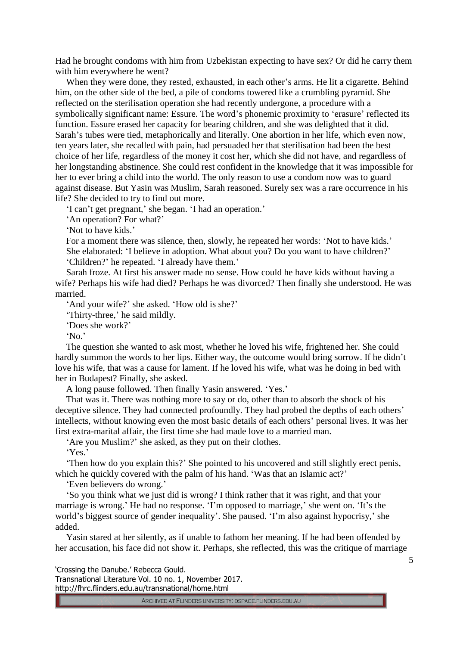Had he brought condoms with him from Uzbekistan expecting to have sex? Or did he carry them with him everywhere he went?

When they were done, they rested, exhausted, in each other's arms. He lit a cigarette. Behind him, on the other side of the bed, a pile of condoms towered like a crumbling pyramid. She reflected on the sterilisation operation she had recently undergone, a procedure with a symbolically significant name: Essure. The word's phonemic proximity to 'erasure' reflected its function. Essure erased her capacity for bearing children, and she was delighted that it did. Sarah's tubes were tied, metaphorically and literally. One abortion in her life, which even now, ten years later, she recalled with pain, had persuaded her that sterilisation had been the best choice of her life, regardless of the money it cost her, which she did not have, and regardless of her longstanding abstinence. She could rest confident in the knowledge that it was impossible for her to ever bring a child into the world. The only reason to use a condom now was to guard against disease. But Yasin was Muslim, Sarah reasoned. Surely sex was a rare occurrence in his life? She decided to try to find out more.

'I can't get pregnant,' she began. 'I had an operation.'

'An operation? For what?'

'Not to have kids.'

For a moment there was silence, then, slowly, he repeated her words: 'Not to have kids.' She elaborated: 'I believe in adoption. What about you? Do you want to have children?' 'Children?' he repeated. 'I already have them.'

Sarah froze. At first his answer made no sense. How could he have kids without having a wife? Perhaps his wife had died? Perhaps he was divorced? Then finally she understood. He was married.

'And your wife?' she asked. 'How old is she?'

'Thirty-three,' he said mildly.

'Does she work?'

'No.'

The question she wanted to ask most, whether he loved his wife, frightened her. She could hardly summon the words to her lips. Either way, the outcome would bring sorrow. If he didn't love his wife, that was a cause for lament. If he loved his wife, what was he doing in bed with her in Budapest? Finally, she asked.

A long pause followed. Then finally Yasin answered. 'Yes.'

That was it. There was nothing more to say or do, other than to absorb the shock of his deceptive silence. They had connected profoundly. They had probed the depths of each others' intellects, without knowing even the most basic details of each others' personal lives. It was her first extra-marital affair, the first time she had made love to a married man.

'Are you Muslim?' she asked, as they put on their clothes.

'Yes.'

'Then how do you explain this?' She pointed to his uncovered and still slightly erect penis, which he quickly covered with the palm of his hand. 'Was that an Islamic act?'

'Even believers do wrong.'

'So you think what we just did is wrong? I think rather that it was right, and that your marriage is wrong.' He had no response. 'I'm opposed to marriage,' she went on. 'It's the world's biggest source of gender inequality'. She paused. 'I'm also against hypocrisy,' she added.

Yasin stared at her silently, as if unable to fathom her meaning. If he had been offended by her accusation, his face did not show it. Perhaps, she reflected, this was the critique of marriage

'Crossing the Danube.' Rebecca Gould.

Transnational Literature Vol. 10 no. 1, November 2017. http://fhrc.flinders.edu.au/transnational/home.html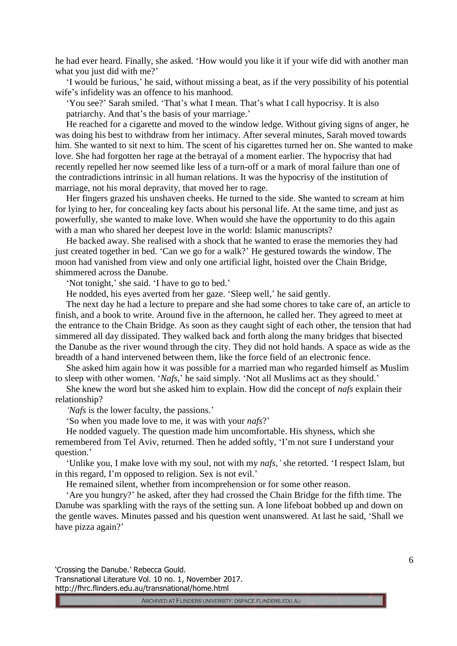he had ever heard. Finally, she asked. 'How would you like it if your wife did with another man what you just did with me?'

'I would be furious,' he said, without missing a beat, as if the very possibility of his potential wife's infidelity was an offence to his manhood.

'You see?' Sarah smiled. 'That's what I mean. That's what I call hypocrisy. It is also patriarchy. And that's the basis of your marriage.'

He reached for a cigarette and moved to the window ledge. Without giving signs of anger, he was doing his best to withdraw from her intimacy. After several minutes, Sarah moved towards him. She wanted to sit next to him. The scent of his cigarettes turned her on. She wanted to make love. She had forgotten her rage at the betrayal of a moment earlier. The hypocrisy that had recently repelled her now seemed like less of a turn-off or a mark of moral failure than one of the contradictions intrinsic in all human relations. It was the hypocrisy of the institution of marriage, not his moral depravity, that moved her to rage.

Her fingers grazed his unshaven cheeks. He turned to the side. She wanted to scream at him for lying to her, for concealing key facts about his personal life. At the same time, and just as powerfully, she wanted to make love. When would she have the opportunity to do this again with a man who shared her deepest love in the world: Islamic manuscripts?

He backed away. She realised with a shock that he wanted to erase the memories they had just created together in bed. 'Can we go for a walk?' He gestured towards the window. The moon had vanished from view and only one artificial light, hoisted over the Chain Bridge, shimmered across the Danube.

'Not tonight,' she said. 'I have to go to bed.'

He nodded, his eyes averted from her gaze. 'Sleep well,' he said gently.

The next day he had a lecture to prepare and she had some chores to take care of, an article to finish, and a book to write. Around five in the afternoon, he called her. They agreed to meet at the entrance to the Chain Bridge. As soon as they caught sight of each other, the tension that had simmered all day dissipated. They walked back and forth along the many bridges that bisected the Danube as the river wound through the city. They did not hold hands. A space as wide as the breadth of a hand intervened between them, like the force field of an electronic fence.

She asked him again how it was possible for a married man who regarded himself as Muslim to sleep with other women. '*Nafs*,' he said simply. 'Not all Muslims act as they should.'

She knew the word but she asked him to explain. How did the concept of *nafs* explain their relationship?

*'Nafs* is the lower faculty, the passions.'

'So when you made love to me, it was with your *nafs*?'

He nodded vaguely. The question made him uncomfortable. His shyness, which she remembered from Tel Aviv, returned. Then he added softly, 'I'm not sure I understand your question.'

'Unlike you, I make love with my soul, not with my *nafs,'* she retorted. 'I respect Islam, but in this regard, I'm opposed to religion. Sex is not evil.'

He remained silent, whether from incomprehension or for some other reason.

'Are you hungry?' he asked, after they had crossed the Chain Bridge for the fifth time. The Danube was sparkling with the rays of the setting sun. A lone lifeboat bobbed up and down on the gentle waves. Minutes passed and his question went unanswered. At last he said, 'Shall we have pizza again?'

'Crossing the Danube.' Rebecca Gould. Transnational Literature Vol. 10 no. 1, November 2017. http://fhrc.flinders.edu.au/transnational/home.html